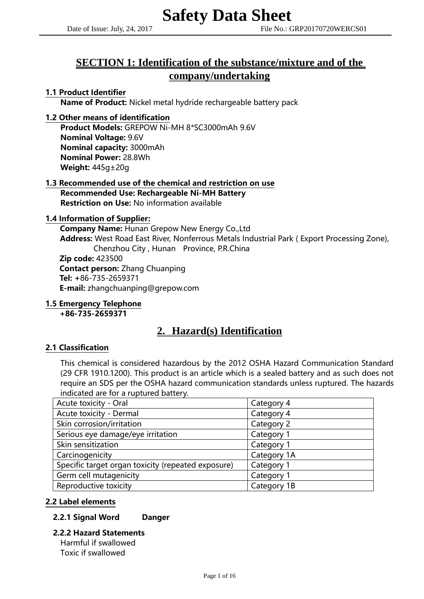# **SECTION 1: Identification of the substance/mixture and of the company/undertaking**

# 1.1 Product Identifier

Name of Product: Nickel metal hydride rechargeable battery pack

# 1.2 Other means of identification

Product Models: GREPOW Ni-MH 8\*SC3000mAh 9.6V Nominal Voltage: 9.6V Nominal capacity: 3000mAh Nominal Power: 28.8Wh Weight: 445g±20g

#### 1.3 Recommended use of the chemical and restriction on use Recommended Use: Rechargeable Ni-MH Battery Restriction on Use: No information available

### 1.4 Information of Supplier:

Company Name: Hunan Grepow New Energy Co.,Ltd Address: West Road East River, Nonferrous Metals Industrial Park (Export Processing Zone), Chenzhou City , Hunan Province, P.R.China

Zip code: 423500 Contact person: Zhang Chuanping Tel: +86-735-2659371 E-mail: zhangchuanping@grepow.com

# 1.5 Emergency Telephone

+86-735-2659371

# **2. Hazard(s) Identification**

### 2.1 Classification

This chemical is considered hazardous by the 2012 OSHA Hazard Communication Standard (29 CFR 1910.1200). This product is an article which is a sealed battery and as such does not require an SDS per the OSHA hazard communication standards unless ruptured. The hazards indicated are for a ruptured battery.

| Acute toxicity - Oral                              | Category 4  |
|----------------------------------------------------|-------------|
| Acute toxicity - Dermal                            | Category 4  |
| Skin corrosion/irritation                          | Category 2  |
| Serious eye damage/eye irritation                  | Category 1  |
| Skin sensitization                                 | Category 1  |
| Carcinogenicity                                    | Category 1A |
| Specific target organ toxicity (repeated exposure) | Category 1  |
| Germ cell mutagenicity                             | Category 1  |
| Reproductive toxicity                              | Category 1B |

# 2.2 Label elements

### 2.2.1 Signal Word Danger

### 2.2.2 Hazard Statements Harmful if swallowed

Toxic if swallowed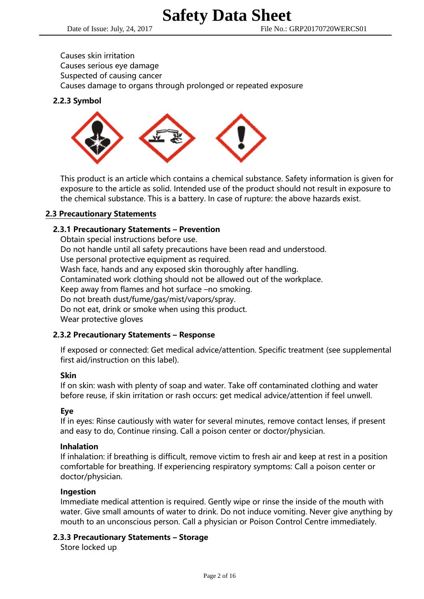Causes skin irritation Causes serious eye damage Suspected of causing cancer Causes damage to organs through prolonged or repeated exposure

# 2.2.3 Symbol



This product is an article which contains a chemical substance. Safety information is given for exposure to the article as solid. Intended use of the product should not result in exposure to the chemical substance. This is a battery. In case of rupture: the above hazards exist.

# 2.3 Precautionary Statements

# 2.3.1 Precautionary Statements – Prevention

Obtain special instructions before use. Do not handle until all safety precautions have been read and understood. Use personal protective equipment as required. Wash face, hands and any exposed skin thoroughly after handling. Contaminated work clothing should not be allowed out of the workplace. Keep away from flames and hot surface –no smoking. Do not breath dust/fume/gas/mist/vapors/spray. Do not eat, drink or smoke when using this product. Wear protective gloves

### 2.3.2 Precautionary Statements – Response

If exposed or connected: Get medical advice/attention. Specific treatment (see supplemental first aid/instruction on this label).

### Skin

If on skin: wash with plenty of soap and water. Take off contaminated clothing and water before reuse, if skin irritation or rash occurs: get medical advice/attention if feel unwell.

### Eye

 If in eyes: Rinse cautiously with water for several minutes, remove contact lenses, if present and easy to do, Continue rinsing. Call a poison center or doctor/physician.

### Inhalation

If inhalation: if breathing is difficult, remove victim to fresh air and keep at rest in a position comfortable for breathing. If experiencing respiratory symptoms: Call a poison center or doctor/physician.

### Ingestion

Immediate medical attention is required. Gently wipe or rinse the inside of the mouth with water. Give small amounts of water to drink. Do not induce vomiting. Never give anything by mouth to an unconscious person. Call a physician or Poison Control Centre immediately.

### 2.3.3 Precautionary Statements – Storage

Store locked up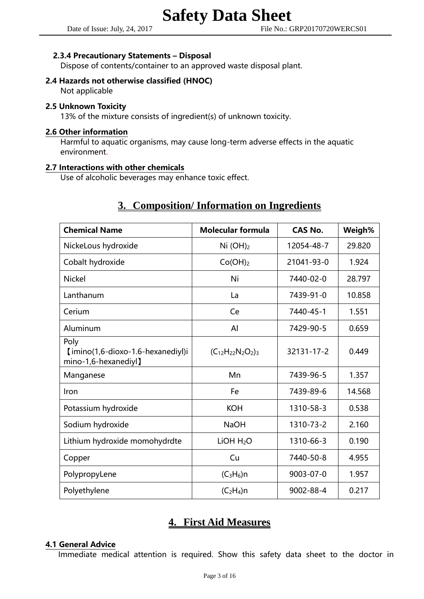## 2.3.4 Precautionary Statements – Disposal

Dispose of contents/container to an approved waste disposal plant.

# 2.4 Hazards not otherwise classified (HNOC)

Not applicable

## 2.5 Unknown Toxicity

13% of the mixture consists of ingredient(s) of unknown toxicity.

#### 2.6 Other information

Harmful to aquatic organisms, may cause long-term adverse effects in the aquatic environment.

### 2.7 Interactions with other chemicals

Use of alcoholic beverages may enhance toxic effect.

# **3. Composition/ Information on Ingredients**

| <b>Chemical Name</b>                                              | <b>Molecular formula</b> | CAS No.    | Weigh% |
|-------------------------------------------------------------------|--------------------------|------------|--------|
| NickeLous hydroxide                                               | Ni $(OH)_2$              | 12054-48-7 | 29.820 |
| Cobalt hydroxide                                                  | Co(OH) <sub>2</sub>      | 21041-93-0 | 1.924  |
| <b>Nickel</b>                                                     | Ni                       | 7440-02-0  | 28.797 |
| Lanthanum                                                         | La                       | 7439-91-0  | 10.858 |
| Cerium                                                            | Ce                       | 7440-45-1  | 1.551  |
| Aluminum                                                          | AI                       | 7429-90-5  | 0.659  |
| Poly<br>[imino(1,6-dioxo-1.6-hexanediyl)i<br>mino-1,6-hexanediyl】 | $(C_{12}H_{22}N_2O_2)_3$ | 32131-17-2 | 0.449  |
| Manganese                                                         | Mn                       | 7439-96-5  | 1.357  |
| Iron                                                              | Fe                       | 7439-89-6  | 14.568 |
| Potassium hydroxide                                               | <b>KOH</b>               | 1310-58-3  | 0.538  |
| Sodium hydroxide                                                  | <b>NaOH</b>              | 1310-73-2  | 2.160  |
| Lithium hydroxide momohydrdte                                     | LIOH H <sub>2</sub> O    | 1310-66-3  | 0.190  |
| Copper                                                            | Cu                       | 7440-50-8  | 4.955  |
| PolypropyLene                                                     | $(C_3H_6)n$              | 9003-07-0  | 1.957  |
| Polyethylene                                                      | $(C_2H_4)$ n             | 9002-88-4  | 0.217  |

# **4. First Aid Measures**

### 4.1 General Advice

Immediate medical attention is required. Show this safety data sheet to the doctor in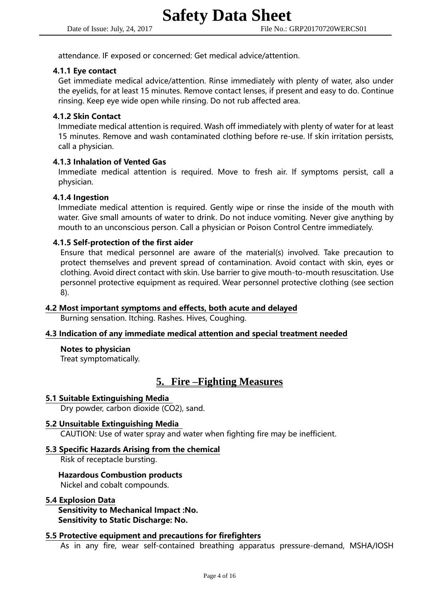attendance. IF exposed or concerned: Get medical advice/attention.

#### 4.1.1 Eye contact

Get immediate medical advice/attention. Rinse immediately with plenty of water, also under the eyelids, for at least 15 minutes. Remove contact lenses, if present and easy to do. Continue rinsing. Keep eye wide open while rinsing. Do not rub affected area.

## 4.1.2 Skin Contact

Immediate medical attention is required. Wash off immediately with plenty of water for at least 15 minutes. Remove and wash contaminated clothing before re-use. If skin irritation persists, call a physician.

# 4.1.3 Inhalation of Vented Gas

Immediate medical attention is required. Move to fresh air. If symptoms persist, call a physician.

#### 4.1.4 Ingestion

Immediate medical attention is required. Gently wipe or rinse the inside of the mouth with water. Give small amounts of water to drink. Do not induce vomiting. Never give anything by mouth to an unconscious person. Call a physician or Poison Control Centre immediately.

### 4.1.5 Self-protection of the first aider

Ensure that medical personnel are aware of the material(s) involved. Take precaution to protect themselves and prevent spread of contamination. Avoid contact with skin, eyes or clothing. Avoid direct contact with skin. Use barrier to give mouth-to-mouth resuscitation. Use personnel protective equipment as required. Wear personnel protective clothing (see section 8).

# 4.2 Most important symptoms and effects, both acute and delayed

Burning sensation. Itching. Rashes. Hives, Coughing.

#### 4.3 Indication of any immediate medical attention and special treatment needed

#### Notes to physician

Treat symptomatically.

# **5. Fire –Fighting Measures**

#### 5.1 Suitable Extinguishing Media

Dry powder, carbon dioxide (CO2), sand.

#### 5.2 Unsuitable Extinguishing Media

CAUTION: Use of water spray and water when fighting fire may be inefficient.

#### 5.3 Specific Hazards Arising from the chemical

Risk of receptacle bursting.

### Hazardous Combustion products

Nickel and cobalt compounds.

#### 5.4 Explosion Data

Sensitivity to Mechanical Impact :No. Sensitivity to Static Discharge: No.

#### 5.5 Protective equipment and precautions for firefighters

As in any fire, wear self-contained breathing apparatus pressure-demand, MSHA/IOSH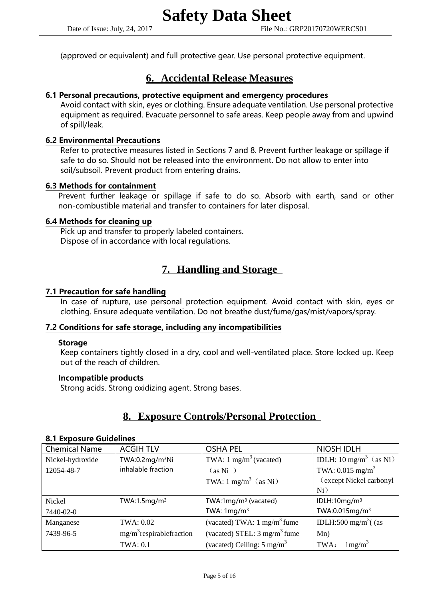(approved or equivalent) and full protective gear. Use personal protective equipment.

# **6. Accidental Release Measures**

## 6.1 Personal precautions, protective equipment and emergency procedures

Avoid contact with skin, eyes or clothing. Ensure adequate ventilation. Use personal protective equipment as required. Evacuate personnel to safe areas. Keep people away from and upwind of spill/leak.

### 6.2 Environmental Precautions

Refer to protective measures listed in Sections 7 and 8. Prevent further leakage or spillage if safe to do so. Should not be released into the environment. Do not allow to enter into soil/subsoil. Prevent product from entering drains.

### 6.3 Methods for containment

Prevent further leakage or spillage if safe to do so. Absorb with earth, sand or other non-combustible material and transfer to containers for later disposal.

# 6.4 Methods for cleaning up

Pick up and transfer to properly labeled containers. Dispose of in accordance with local regulations.

# **7. Handling and Storage**

#### 7.1 Precaution for safe handling

In case of rupture, use personal protection equipment. Avoid contact with skin, eyes or clothing. Ensure adequate ventilation. Do not breathe dust/fume/gas/mist/vapors/spray.

### 7.2 Conditions for safe storage, including any incompatibilities

#### Storage

Keep containers tightly closed in a dry, cool and well-ventilated place. Store locked up. Keep out of the reach of children.

## Incompatible products

Strong acids. Strong oxidizing agent. Strong bases.

# **8. Exposure Controls/Personal Protection**

#### 8.1 Exposure Guidelines

| <b>Chemical Name</b> | <b>ACGIH TLV</b>            | <b>OSHA PEL</b>                         | <b>NIOSH IDLH</b>                  |
|----------------------|-----------------------------|-----------------------------------------|------------------------------------|
| Nickel-hydroxide     | TWA:0.2mg/m <sup>3</sup> Ni | TWA: $1 \text{ mg/m}^3$ (vacated)       | IDLH: 10 mg/m <sup>3</sup> (as Ni) |
| 12054-48-7           | inhalable fraction          | (as Ni)                                 | TWA: $0.015$ mg/m <sup>3</sup>     |
|                      |                             | TWA: $1 \text{ mg/m}^3$ (as Ni)         | (except Nickel carbonyl            |
|                      |                             |                                         | Ni)                                |
| Nickel               | TWA:1.5 $mg/m3$             | TWA:1 $mq/m^3$ (vacated)                | IDLH:10mg/m <sup>3</sup>           |
| 7440-02-0            |                             | TWA: $1 \text{mg/m}^3$                  | TWA:0.015mg/m <sup>3</sup>         |
| Manganese            | TWA: 0.02                   | (vacated) TWA: $1 \text{ mg/m}^3$ fume  | IDLH:500 mg/m <sup>3</sup> $($ (as |
| 7439-96-5            | $mg/m3$ respirable fraction | (vacated) STEL: $3 \text{ mg/m}^3$ fume | Mn)                                |
|                      | <b>TWA: 0.1</b>             | (vacated) Ceiling: $5 \text{ mg/m}^3$   | 1mg/m <sup>3</sup><br>TWA:         |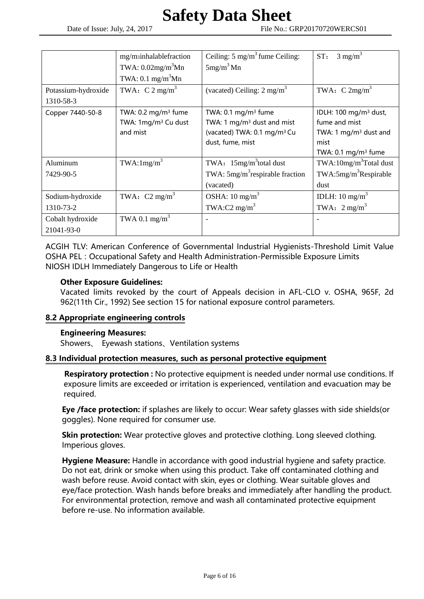|                     | mg/msinhalablefraction           | Ceiling: $5 \text{ mg/m}^3$ fume Ceiling: | $3 \text{ mg/m}^3$<br>ST:          |
|---------------------|----------------------------------|-------------------------------------------|------------------------------------|
|                     |                                  |                                           |                                    |
|                     | TWA: $0.02$ mg/m <sup>3</sup> Mn | $5mg/m3$ Mn                               |                                    |
|                     | TWA: $0.1 \text{ mg/m}^3$ Mn     |                                           |                                    |
| Potassium-hydroxide | TWA: $C 2 mg/m3$                 | (vacated) Ceiling: $2 \text{ mg/m}^3$     | TWA: $C 2mg/m^3$                   |
| 1310-58-3           |                                  |                                           |                                    |
| Copper 7440-50-8    | TWA: $0.2 \text{ mg/m}^3$ fume   | TWA: $0.1 \text{ mg/m}^3$ fume            | IDLH: 100 mg/m <sup>3</sup> dust,  |
|                     | TWA: 1mg/m <sup>3</sup> Cu dust  | TWA: 1 $mg/m3$ dust and mist              | fume and mist                      |
|                     | and mist                         | (vacated) TWA: 0.1 mg/m <sup>3</sup> Cu   | TWA: 1 $mg/m3$ dust and            |
|                     |                                  | dust, fume, mist                          | mist                               |
|                     |                                  |                                           | TWA: $0.1 \text{ mg/m}^3$ fume     |
| Aluminum            | TWA:1mg/m <sup>3</sup>           | TWA: 15mg/m <sup>3</sup> total dust       | TWA:10mg/m <sup>3</sup> Total dust |
| 7429-90-5           |                                  | TWA: $5mg/m^3$ respirable fraction        | TWA:5mg/m <sup>3</sup> Respirable  |
|                     |                                  | (vacated)                                 | dust                               |
| Sodium-hydroxide    | TWA: $C2$ mg/m <sup>3</sup>      | OSHA: $10 \text{ mg/m}^3$                 | IDLH: $10 \text{ mg/m}^3$          |
| 1310-73-2           |                                  | TWA:C2 mg/m <sup>3</sup>                  | TWA: $2 \text{ mg/m}^3$            |
| Cobalt hydroxide    | TWA 0.1 mg/m <sup>3</sup>        | $\overline{a}$                            |                                    |
| 21041-93-0          |                                  |                                           |                                    |

ACGIH TLV: American Conference of Governmental Industrial Hygienists-Threshold Limit Value OSHA PEL: Occupational Safety and Health Administration-Permissible Exposure Limits NIOSH IDLH Immediately Dangerous to Life or Health

# Other Exposure Guidelines:

Vacated limits revoked by the court of Appeals decision in AFL-CLO v. OSHA, 965F, 2d 962(11th Cir., 1992) See section 15 for national exposure control parameters.

### 8.2 Appropriate engineering controls

### Engineering Measures:

Showers、 Eyewash stations、Ventilation systems

### 8.3 Individual protection measures, such as personal protective equipment

Respiratory protection : No protective equipment is needed under normal use conditions. If exposure limits are exceeded or irritation is experienced, ventilation and evacuation may be required.

Eye /face protection: if splashes are likely to occur: Wear safety glasses with side shields(or goggles). None required for consumer use.

Skin protection: Wear protective gloves and protective clothing. Long sleeved clothing. Imperious gloves.

Hygiene Measure: Handle in accordance with good industrial hygiene and safety practice. Do not eat, drink or smoke when using this product. Take off contaminated clothing and wash before reuse. Avoid contact with skin, eyes or clothing. Wear suitable gloves and eye/face protection. Wash hands before breaks and immediately after handling the product. For environmental protection, remove and wash all contaminated protective equipment before re-use. No information available.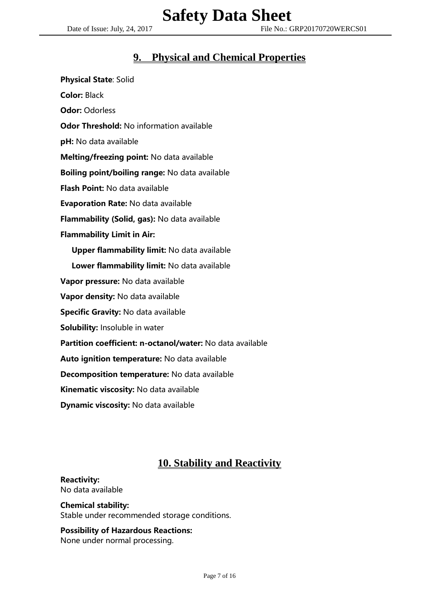# **9. Physical and Chemical Properties**

Physical State: Solid Color: Black Odor: Odorless Odor Threshold: No information available pH: No data available Melting/freezing point: No data available Boiling point/boiling range: No data available Flash Point: No data available Evaporation Rate: No data available Flammability (Solid, gas): No data available Flammability Limit in Air: Upper flammability limit: No data available Lower flammability limit: No data available Vapor pressure: No data available Vapor density: No data available Specific Gravity: No data available Solubility: Insoluble in water Partition coefficient: n-octanol/water: No data available Auto ignition temperature: No data available Decomposition temperature: No data available Kinematic viscosity: No data available Dynamic viscosity: No data available

# **10. Stability and Reactivity**

# Reactivity:

No data available

### Chemical stability:

Stable under recommended storage conditions.

# Possibility of Hazardous Reactions:

None under normal processing.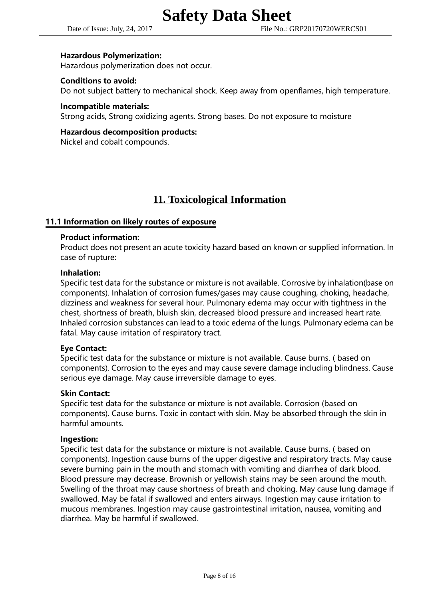#### Date of Issue: July, 24, 2017 File No.: GRP20170720WERCS01

#### Hazardous Polymerization:

Hazardous polymerization does not occur.

#### Conditions to avoid:

Do not subject battery to mechanical shock. Keep away from openflames, high temperature.

#### Incompatible materials:

Strong acids, Strong oxidizing agents. Strong bases. Do not exposure to moisture

#### Hazardous decomposition products:

Nickel and cobalt compounds.

# **11. Toxicological Information**

### 11.1 Information on likely routes of exposure

#### Product information:

Product does not present an acute toxicity hazard based on known or supplied information. In case of rupture:

#### Inhalation:

Specific test data for the substance or mixture is not available. Corrosive by inhalation(base on components). Inhalation of corrosion fumes/gases may cause coughing, choking, headache, dizziness and weakness for several hour. Pulmonary edema may occur with tightness in the chest, shortness of breath, bluish skin, decreased blood pressure and increased heart rate. Inhaled corrosion substances can lead to a toxic edema of the lungs. Pulmonary edema can be fatal. May cause irritation of respiratory tract.

#### Eye Contact:

Specific test data for the substance or mixture is not available. Cause burns. ( based on components). Corrosion to the eyes and may cause severe damage including blindness. Cause serious eye damage. May cause irreversible damage to eyes.

#### Skin Contact:

Specific test data for the substance or mixture is not available. Corrosion (based on components). Cause burns. Toxic in contact with skin. May be absorbed through the skin in harmful amounts.

#### Ingestion:

Specific test data for the substance or mixture is not available. Cause burns. ( based on components). Ingestion cause burns of the upper digestive and respiratory tracts. May cause severe burning pain in the mouth and stomach with vomiting and diarrhea of dark blood. Blood pressure may decrease. Brownish or yellowish stains may be seen around the mouth. Swelling of the throat may cause shortness of breath and choking. May cause lung damage if swallowed. May be fatal if swallowed and enters airways. Ingestion may cause irritation to mucous membranes. Ingestion may cause gastrointestinal irritation, nausea, vomiting and diarrhea. May be harmful if swallowed.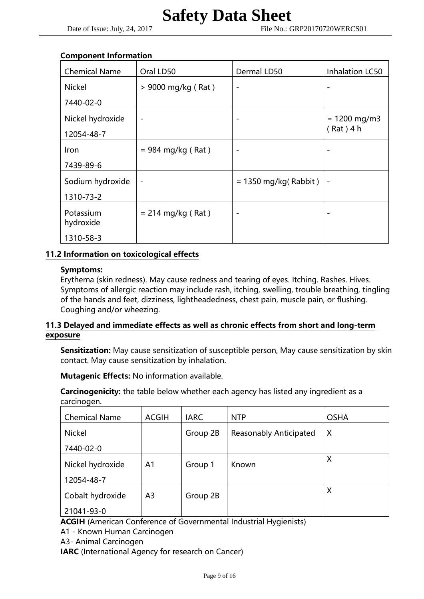#### Component Information

| <b>Chemical Name</b>   | Oral LD50                | Dermal LD50            | Inhalation LC50 |
|------------------------|--------------------------|------------------------|-----------------|
| <b>Nickel</b>          | > 9000 mg/kg (Rat)       |                        |                 |
| 7440-02-0              |                          |                        |                 |
| Nickel hydroxide       | $\overline{\phantom{a}}$ |                        | $= 1200$ mg/m3  |
| 12054-48-7             |                          |                        | $(Rat)$ 4 h     |
| Iron                   | $= 984$ mg/kg (Rat)      | ۰                      |                 |
| 7439-89-6              |                          |                        |                 |
| Sodium hydroxide       | $\overline{\phantom{a}}$ | $= 1350$ mg/kg(Rabbit) |                 |
| 1310-73-2              |                          |                        |                 |
| Potassium<br>hydroxide | $= 214$ mg/kg (Rat)      |                        |                 |
| 1310-58-3              |                          |                        |                 |

# 11.2 Information on toxicological effects

### Symptoms:

Erythema (skin redness). May cause redness and tearing of eyes. Itching. Rashes. Hives. Symptoms of allergic reaction may include rash, itching, swelling, trouble breathing, tingling of the hands and feet, dizziness, lightheadedness, chest pain, muscle pain, or flushing. Coughing and/or wheezing.

# 11.3 Delayed and immediate effects as well as chronic effects from short and long-term exposure

Sensitization: May cause sensitization of susceptible person, May cause sensitization by skin contact. May cause sensitization by inhalation.

Mutagenic Effects: No information available.

Carcinogenicity: the table below whether each agency has listed any ingredient as a carcinogen.

| <b>Chemical Name</b> | <b>ACGIH</b>   | <b>IARC</b> | <b>NTP</b>                    | <b>OSHA</b> |
|----------------------|----------------|-------------|-------------------------------|-------------|
| <b>Nickel</b>        |                | Group 2B    | <b>Reasonably Anticipated</b> | X           |
| 7440-02-0            |                |             |                               |             |
| Nickel hydroxide     | A <sub>1</sub> | Group 1     | Known                         | X           |
| 12054-48-7           |                |             |                               |             |
| Cobalt hydroxide     | A <sub>3</sub> | Group 2B    |                               | X           |
| 21041-93-0           |                |             |                               |             |

ACGIH (American Conference of Governmental Industrial Hygienists)

A1 - Known Human Carcinogen

A3- Animal Carcinogen

IARC (International Agency for research on Cancer)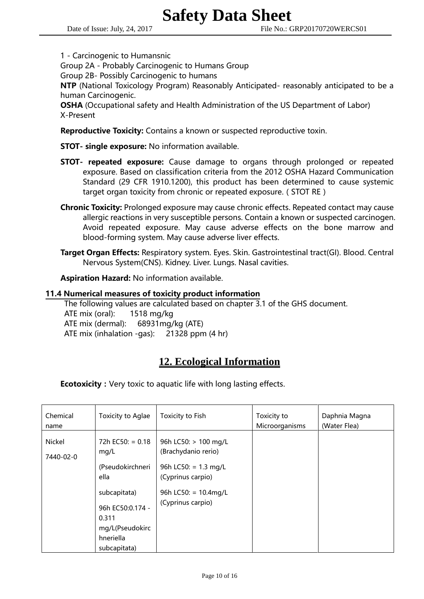1 - Carcinogenic to Humansnic

Group 2A - Probably Carcinogenic to Humans Group

Group 2B- Possibly Carcinogenic to humans

NTP (National Toxicology Program) Reasonably Anticipated- reasonably anticipated to be a human Carcinogenic.

 OSHA (Occupational safety and Health Administration of the US Department of Labor) X-Present

**Reproductive Toxicity:** Contains a known or suspected reproductive toxin.

STOT- single exposure: No information available.

- **STOT- repeated exposure:** Cause damage to organs through prolonged or repeated exposure. Based on classification criteria from the 2012 OSHA Hazard Communication Standard (29 CFR 1910.1200), this product has been determined to cause systemic target organ toxicity from chronic or repeated exposure. (STOT RE)
- Chronic Toxicity: Prolonged exposure may cause chronic effects. Repeated contact may cause allergic reactions in very susceptible persons. Contain a known or suspected carcinogen. Avoid repeated exposure. May cause adverse effects on the bone marrow and blood-forming system. May cause adverse liver effects.
- Target Organ Effects: Respiratory system. Eyes. Skin. Gastrointestinal tract(GI). Blood. Central Nervous System(CNS). Kidney. Liver. Lungs. Nasal cavities.

Aspiration Hazard: No information available.

#### 11.4 Numerical measures of toxicity product information

 The following values are calculated based on chapter 3.1 of the GHS document. ATE mix (oral): 1518 mg/kg ATE mix (dermal): 68931mg/kg (ATE) ATE mix (inhalation -gas): 21328 ppm (4 hr)

# **12. Ecological Information**

**Ecotoxicity:** Very toxic to aquatic life with long lasting effects.

| Chemical<br>name    | Toxicity to Aglae                                                                                                                                   | Toxicity to Fish                                                                                                                                          | Toxicity to<br>Microorganisms | Daphnia Magna<br>(Water Flea) |
|---------------------|-----------------------------------------------------------------------------------------------------------------------------------------------------|-----------------------------------------------------------------------------------------------------------------------------------------------------------|-------------------------------|-------------------------------|
| Nickel<br>7440-02-0 | $72h$ EC50: = 0.18<br>mg/L<br>(Pseudokirchneri<br>ella<br>subcapitata)<br>96h EC50:0.174 -<br>0.311<br>mg/L(Pseudokirc<br>hneriella<br>subcapitata) | 96h LC50: > 100 mg/L<br>(Brachydanio rerio)<br>96h LC50: = $1.3 \text{ mg/L}$<br>(Cyprinus carpio)<br>96h LC50: = $10.4 \text{mg/L}$<br>(Cyprinus carpio) |                               |                               |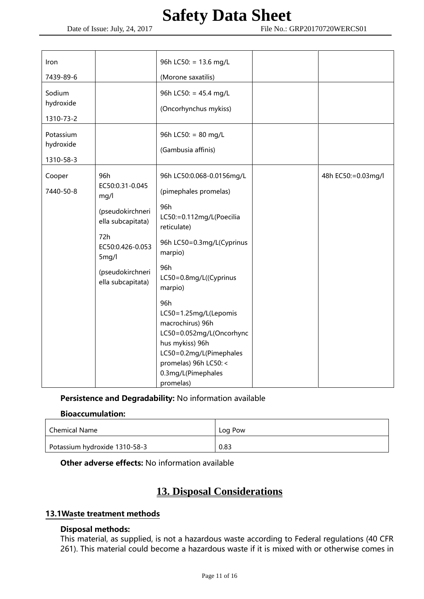| Iron                                |                                                                                                                                                      | 96h LC50: = 13.6 mg/L                                                                                                                                                                           |                    |
|-------------------------------------|------------------------------------------------------------------------------------------------------------------------------------------------------|-------------------------------------------------------------------------------------------------------------------------------------------------------------------------------------------------|--------------------|
| 7439-89-6                           |                                                                                                                                                      | (Morone saxatilis)                                                                                                                                                                              |                    |
| Sodium<br>hydroxide<br>1310-73-2    |                                                                                                                                                      | 96h LC50: = 45.4 mg/L<br>(Oncorhynchus mykiss)                                                                                                                                                  |                    |
| Potassium<br>hydroxide<br>1310-58-3 |                                                                                                                                                      | 96h LC50: = 80 mg/L<br>(Gambusia affinis)                                                                                                                                                       |                    |
| Cooper<br>7440-50-8                 | 96h<br>EC50:0.31-0.045<br>mg/l<br>(pseudokirchneri<br>ella subcapitata)<br>72h<br>EC50:0.426-0.053<br>5mg/l<br>(pseudokirchneri<br>ella subcapitata) | 96h LC50:0.068-0.0156mg/L<br>(pimephales promelas)<br>96h<br>LC50:=0.112mg/L(Poecilia<br>reticulate)<br>96h LC50=0.3mg/L(Cyprinus<br>marpio)<br>96h<br>LC50=0.8mg/L((Cyprinus<br>marpio)<br>96h | 48h EC50:=0.03mg/l |
|                                     |                                                                                                                                                      | LC50=1.25mg/L(Lepomis<br>macrochirus) 96h<br>LC50=0.052mg/L(Oncorhync<br>hus mykiss) 96h<br>LC50=0.2mg/L(Pimephales<br>promelas) 96h LC50: <<br>0.3mg/L(Pimephales<br>promelas)                 |                    |

Persistence and Degradability: No information available

### Bioaccumulation:

| Chemical Name                 | Log Pow |
|-------------------------------|---------|
| Potassium hydroxide 1310-58-3 | 0.83    |

Other adverse effects: No information available

# **13. Disposal Considerations**

# 13.1Waste treatment methods

### Disposal methods:

This material, as supplied, is not a hazardous waste according to Federal regulations (40 CFR 261). This material could become a hazardous waste if it is mixed with or otherwise comes in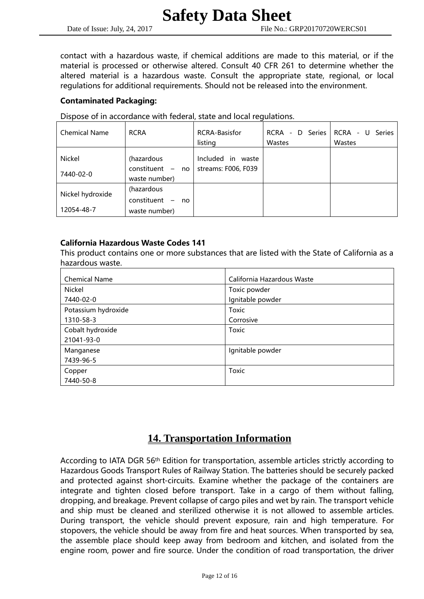contact with a hazardous waste, if chemical additions are made to this material, or if the material is processed or otherwise altered. Consult 40 CFR 261 to determine whether the altered material is a hazardous waste. Consult the appropriate state, regional, or local regulations for additional requirements. Should not be released into the environment.

## Contaminated Packaging:

Dispose of in accordance with federal, state and local regulations.

| <b>Chemical Name</b> | <b>RCRA</b>                                    | <b>RCRA-Basisfor</b><br>listing | D Series I<br>RCRA -<br>Wastes | RCRA<br>Series<br>- U<br>Wastes |
|----------------------|------------------------------------------------|---------------------------------|--------------------------------|---------------------------------|
| Nickel               | (hazardous                                     | Included<br>waste<br><i>in</i>  |                                |                                 |
| 7440-02-0            | constituent<br>$\equiv$<br>no<br>waste number) | streams: F006, F039             |                                |                                 |
| Nickel hydroxide     | (hazardous                                     |                                 |                                |                                 |
|                      | constituent<br>$\overline{\phantom{a}}$<br>no  |                                 |                                |                                 |
| 12054-48-7           | waste number)                                  |                                 |                                |                                 |

### California Hazardous Waste Codes 141

This product contains one or more substances that are listed with the State of California as a hazardous waste.

| <b>Chemical Name</b> | California Hazardous Waste |
|----------------------|----------------------------|
| Nickel               | Toxic powder               |
| 7440-02-0            | Ignitable powder           |
| Potassium hydroxide  | Toxic                      |
| 1310-58-3            | Corrosive                  |
| Cobalt hydroxide     | <b>Toxic</b>               |
| 21041-93-0           |                            |
| Manganese            | Ignitable powder           |
| 7439-96-5            |                            |
| Copper               | <b>Toxic</b>               |
| 7440-50-8            |                            |

# **14. Transportation Information**

According to IATA DGR 56th Edition for transportation, assemble articles strictly according to Hazardous Goods Transport Rules of Railway Station. The batteries should be securely packed and protected against short-circuits. Examine whether the package of the containers are integrate and tighten closed before transport. Take in a cargo of them without falling, dropping, and breakage. Prevent collapse of cargo piles and wet by rain. The transport vehicle and ship must be cleaned and sterilized otherwise it is not allowed to assemble articles. During transport, the vehicle should prevent exposure, rain and high temperature. For stopovers, the vehicle should be away from fire and heat sources. When transported by sea, the assemble place should keep away from bedroom and kitchen, and isolated from the engine room, power and fire source. Under the condition of road transportation, the driver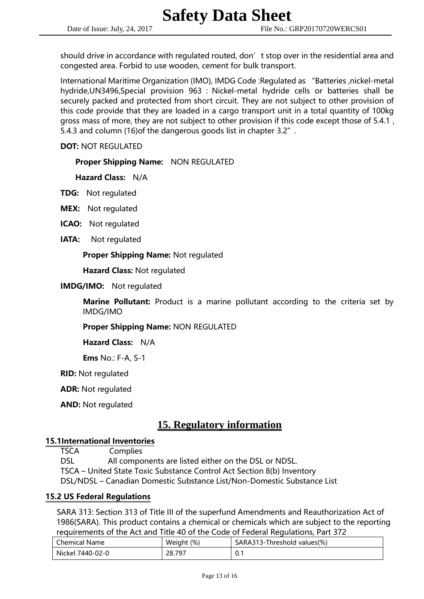should drive in accordance with regulated routed, don't stop over in the residential area and congested area. Forbid to use wooden, cement for bulk transport.

International Maritime Organization (IMO), IMDG Code :Regulated as "Batteries ,nickel-metal hydride,UN3496,Special provision 963 : Nickel-metal hydride cells or batteries shall be securely packed and protected from short circuit. They are not subject to other provision of this code provide that they are loaded in a cargo transport unit in a total quantity of 100kg gross mass of more, they are not subject to other provision if this code except those of 5.4.1, 5.4.3 and column (16)of the dangerous goods list in chapter 3.2".

DOT: NOT REGULATED

Proper Shipping Name: NON REGULATED

Hazard Class: N/A

TDG: Not regulated

- MEX: Not regulated
- ICAO: Not regulated
- IATA: Not regulated

#### Proper Shipping Name: Not regulated

Hazard Class: Not regulated

IMDG/IMO: Not regulated

Marine Pollutant: Product is a marine pollutant according to the criteria set by IMDG/IMO

Proper Shipping Name: NON REGULATED

Hazard Class: N/A

Ems No.: F-A, S-1

RID: Not regulated

ADR: Not regulated

AND: Not regulated

# **15. Regulatory information**

#### 15.1International Inventories

TSCA Complies

 DSL All components are listed either on the DSL or NDSL. TSCA – United State Toxic Substance Control Act Section 8(b) Inventory DSL/NDSL – Canadian Domestic Substance List/Non-Domestic Substance List

#### 15.2 US Federal Regulations

 SARA 313: Section 313 of Title III of the superfund Amendments and Reauthorization Act of 1986(SARA). This product contains a chemical or chemicals which are subject to the reporting requirements of the Act and Title 40 of the Code of Federal Regulations, Part 372

| <b>Chemical Name</b> | Weight (%) | SARA313-Threshold values(%) |
|----------------------|------------|-----------------------------|
| Nickel 7440-02-0     | 28.797     | <b>U.</b>                   |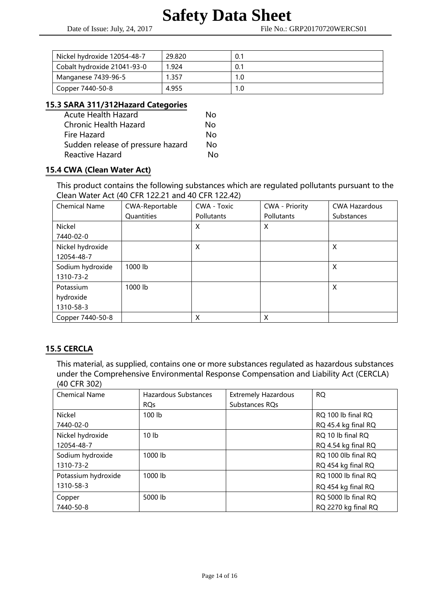| Nickel hydroxide 12054-48-7 | 29.820 | 0.1 |
|-----------------------------|--------|-----|
| Cobalt hydroxide 21041-93-0 | 1.924  | 0.1 |
| Manganese 7439-96-5         | 1.357  | 1.0 |
| Copper 7440-50-8            | 4.955  | 1.0 |

# 15.3 SARA 311/312Hazard Categories

| <b>Acute Health Hazard</b>        | Nο  |
|-----------------------------------|-----|
| <b>Chronic Health Hazard</b>      | No  |
| Fire Hazard                       | N٥  |
| Sudden release of pressure hazard | No. |
| <b>Reactive Hazard</b>            | N٥  |

# 15.4 CWA (Clean Water Act)

 This product contains the following substances which are regulated pollutants pursuant to the Clean Water Act (40 CFR 122.21 and 40 CFR 122.42)

| <b>Chemical Name</b> | CWA-Reportable | CWA - Toxic       | <b>CWA - Priority</b> | <b>CWA Hazardous</b> |
|----------------------|----------------|-------------------|-----------------------|----------------------|
|                      | Quantities     | <b>Pollutants</b> | Pollutants            | <b>Substances</b>    |
| Nickel               |                | X                 | X                     |                      |
| 7440-02-0            |                |                   |                       |                      |
| Nickel hydroxide     |                | X                 |                       | X                    |
| 12054-48-7           |                |                   |                       |                      |
| Sodium hydroxide     | 1000 lb        |                   |                       | X                    |
| 1310-73-2            |                |                   |                       |                      |
| Potassium            | 1000 lb        |                   |                       | X                    |
| hydroxide            |                |                   |                       |                      |
| 1310-58-3            |                |                   |                       |                      |
| Copper 7440-50-8     |                | X                 | X                     |                      |

# 15.5 CERCLA

 This material, as supplied, contains one or more substances regulated as hazardous substances under the Comprehensive Environmental Response Compensation and Liability Act (CERCLA) (40 CFR 302)

| <b>Chemical Name</b> | Hazardous Substances | <b>Extremely Hazardous</b> | <b>RQ</b>           |
|----------------------|----------------------|----------------------------|---------------------|
|                      | <b>RQs</b>           | Substances RQs             |                     |
| Nickel               | 100 lb               |                            | RQ 100 lb final RQ  |
| 7440-02-0            |                      |                            | RQ 45.4 kg final RQ |
| Nickel hydroxide     | 10 <sub>1b</sub>     |                            | RQ 10 lb final RQ   |
| 12054-48-7           |                      |                            | RQ 4.54 kg final RQ |
| Sodium hydroxide     | 1000 lb              |                            | RQ 100 0lb final RQ |
| 1310-73-2            |                      |                            | RQ 454 kg final RQ  |
| Potassium hydroxide  | $1000$ lb            |                            | RQ 1000 lb final RQ |
| 1310-58-3            |                      |                            | RQ 454 kg final RQ  |
| Copper               | 5000 lb              |                            | RQ 5000 lb final RQ |
| 7440-50-8            |                      |                            | RQ 2270 kg final RQ |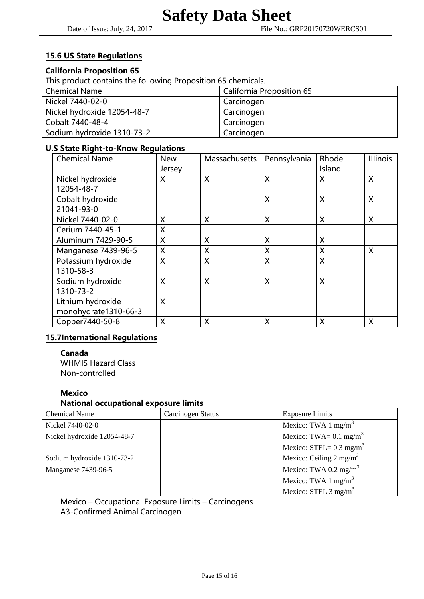# 15.6 US State Regulations

### California Proposition 65

This product contains the following Proposition 65 chemicals.

| <b>Chemical Name</b>        | <b>California Proposition 65</b> |
|-----------------------------|----------------------------------|
| Nickel 7440-02-0            | Carcinogen                       |
| Nickel hydroxide 12054-48-7 | Carcinogen                       |
| Cobalt 7440-48-4            | Carcinogen                       |
| Sodium hydroxide 1310-73-2  | Carcinogen                       |

#### U.S State Right-to-Know Regulations

| <b>Chemical Name</b> | <b>New</b> | Massachusetts | Pennsylvania | Rhode  | <b>Illinois</b> |
|----------------------|------------|---------------|--------------|--------|-----------------|
|                      | Jersey     |               |              | Island |                 |
| Nickel hydroxide     | X          | X             | X            | X      | X               |
| 12054-48-7           |            |               |              |        |                 |
| Cobalt hydroxide     |            |               | X            | X      | X               |
| 21041-93-0           |            |               |              |        |                 |
| Nickel 7440-02-0     | X          | X             | X            | X      | X               |
| Cerium 7440-45-1     | X          |               |              |        |                 |
| Aluminum 7429-90-5   | Χ          | X             | X            | X      |                 |
| Manganese 7439-96-5  | X          | X             | X            | X      | X               |
| Potassium hydroxide  | X          | X             | X            | X      |                 |
| 1310-58-3            |            |               |              |        |                 |
| Sodium hydroxide     | X          | X             | X            | X      |                 |
| 1310-73-2            |            |               |              |        |                 |
| Lithium hydroxide    | X          |               |              |        |                 |
| monohydrate1310-66-3 |            |               |              |        |                 |
| Copper7440-50-8      | X          | X             | X            | X      | X               |

#### 15.7International Regulations

 Canada WHMIS Hazard Class Non-controlled

#### Mexico

#### National occupational exposure limits

| <b>Chemical Name</b>        | Carcinogen Status | <b>Exposure Limits</b>             |
|-----------------------------|-------------------|------------------------------------|
| Nickel 7440-02-0            |                   | Mexico: TWA 1 mg/m <sup>3</sup>    |
| Nickel hydroxide 12054-48-7 |                   | Mexico: TWA= $0.1 \text{ mg/m}^3$  |
|                             |                   | Mexico: STEL= $0.3 \text{ mg/m}^3$ |
| Sodium hydroxide 1310-73-2  |                   | Mexico: Ceiling $2 \text{ mg/m}^3$ |
| Manganese 7439-96-5         |                   | Mexico: TWA 0.2 mg/m <sup>3</sup>  |
|                             |                   | Mexico: TWA 1 mg/m <sup>3</sup>    |
|                             |                   | Mexico: STEL 3 mg/m <sup>3</sup>   |

Mexico – Occupational Exposure Limits – Carcinogens A3-Confirmed Animal Carcinogen